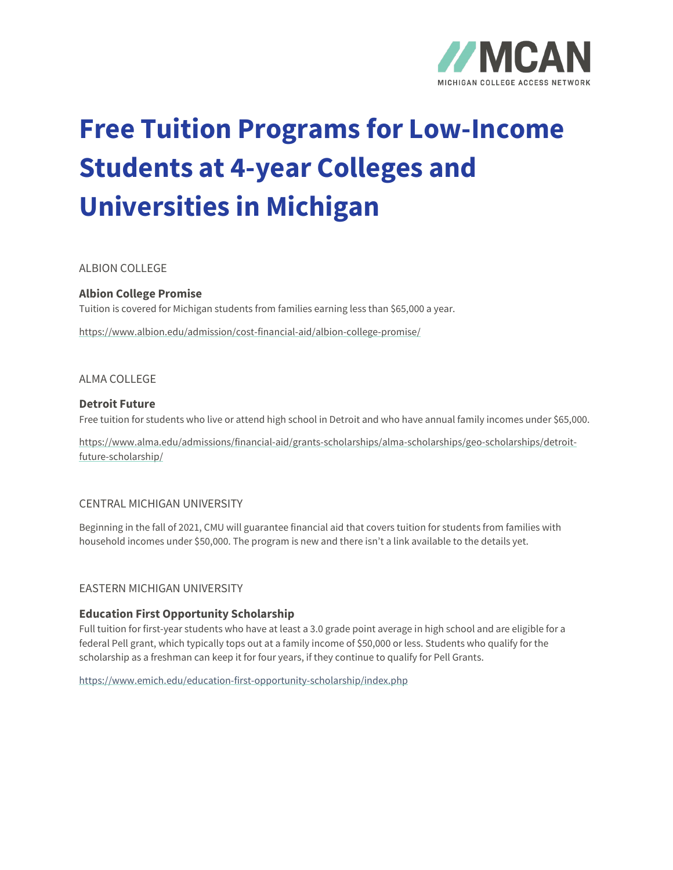

# **Free Tuition Programs for Low-Income Students at 4-year Colleges and Universities in Michigan**

# ALBION COLLEGE

# **Albion College Promise**

Tuition is covered for Michigan students from families earning less than \$65,000 a year.

<https://www.albion.edu/admission/cost-financial-aid/albion-college-promise/>

#### ALMA COLLEGE

#### **Detroit Future**

Free tuition for students who live or attend high school in Detroit and who have annual family incomes under \$65,000.

[https://www.alma.edu/admissions/financial-aid/grants-scholarships/alma-scholarships/geo-scholarships/detroit](https://www.alma.edu/admissions/financial-aid/grants-scholarships/alma-scholarships/geo-scholarships/detroit-future-scholarship/)[future-scholarship/](https://www.alma.edu/admissions/financial-aid/grants-scholarships/alma-scholarships/geo-scholarships/detroit-future-scholarship/)

#### CENTRAL MICHIGAN UNIVERSITY

Beginning in the fall of 2021, CMU will guarantee financial aid that covers tuition for students from families with household incomes under \$50,000. The program is new and there isn't a link available to the details yet.

#### EASTERN MICHIGAN UNIVERSITY

#### **Education First Opportunity Scholarship**

Full tuition for first-year students who have at least a 3.0 grade point average in high school and are eligible for a federal Pell grant, which typically tops out at a family income of \$50,000 or less. Students who qualify for the scholarship as a freshman can keep it for four years, if they continue to qualify for Pell Grants.

<https://www.emich.edu/education-first-opportunity-scholarship/index.php>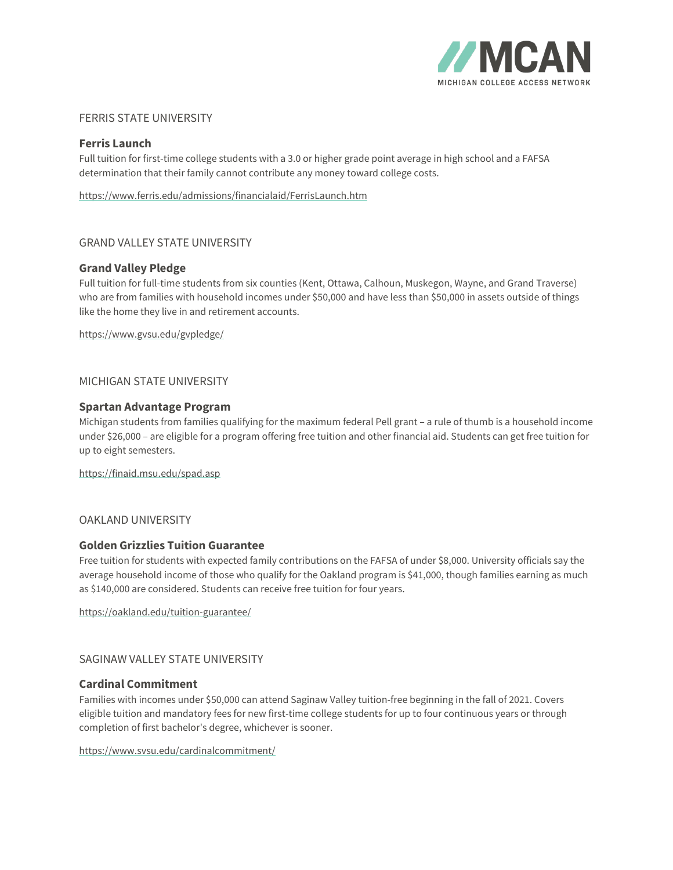

# FERRIS STATE UNIVERSITY

## **Ferris Launch**

Full tuition for first-time college students with a 3.0 or higher grade point average in high school and a FAFSA determination that their family cannot contribute any money toward college costs.

<https://www.ferris.edu/admissions/financialaid/FerrisLaunch.htm>

# GRAND VALLEY STATE UNIVERSITY

# **Grand Valley Pledge**

Full tuition for full-time students from six counties (Kent, Ottawa, Calhoun, Muskegon, Wayne, and Grand Traverse) who are from families with household incomes under \$50,000 and have less than \$50,000 in assets outside of things like the home they live in and retirement accounts.

<https://www.gvsu.edu/gvpledge/>

# MICHIGAN STATE UNIVERSITY

#### **Spartan Advantage Program**

Michigan students from families qualifying for the maximum federal Pell grant – a rule of thumb is a household income under \$26,000 – are eligible for a program offering free tuition and other financial aid. Students can get free tuition for up to eight semesters.

<https://finaid.msu.edu/spad.asp>

# OAKLAND UNIVERSITY

## **Golden Grizzlies Tuition Guarantee**

Free tuition for students with expected family contributions on the FAFSA of under \$8,000. University officials say the average household income of those who qualify for the Oakland program is \$41,000, though families earning as much as \$140,000 are considered. Students can receive free tuition for four years.

<https://oakland.edu/tuition-guarantee/>

#### SAGINAW VALLEY STATE UNIVERSITY

#### **Cardinal Commitment**

Families with incomes under \$50,000 can attend Saginaw Valley tuition-free beginning in the fall of 2021. Covers eligible tuition and mandatory fees for new first-time college students for up to four continuous years or through completion of first bachelor's degree, whichever is sooner.

<https://www.svsu.edu/cardinalcommitment/>